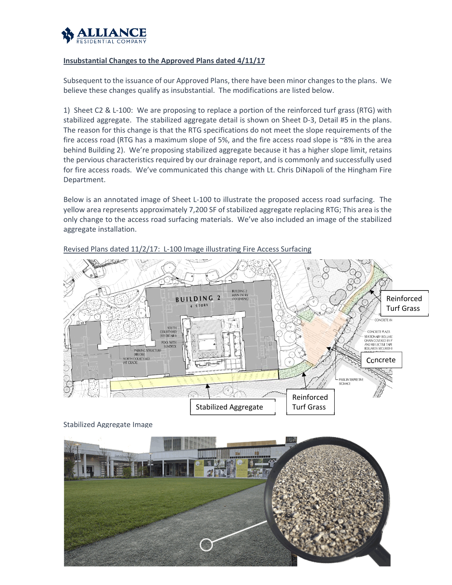

## **Insubstantial Changes to the Approved Plans dated 4/11/17**

Subsequent to the issuance of our Approved Plans, there have been minor changes to the plans. We believe these changes qualify as insubstantial. The modifications are listed below.

1) Sheet C2 & L-100: We are proposing to replace a portion of the reinforced turf grass (RTG) with stabilized aggregate. The stabilized aggregate detail is shown on Sheet D‐3, Detail #5 in the plans. The reason for this change is that the RTG specifications do not meet the slope requirements of the fire access road (RTG has a maximum slope of 5%, and the fire access road slope is ~8% in the area behind Building 2). We're proposing stabilized aggregate because it has a higher slope limit, retains the pervious characteristics required by our drainage report, and is commonly and successfully used for fire access roads. We've communicated this change with Lt. Chris DiNapoli of the Hingham Fire Department.

Below is an annotated image of Sheet L‐100 to illustrate the proposed access road surfacing. The yellow area represents approximately 7,200 SF of stabilized aggregate replacing RTG; This area is the only change to the access road surfacing materials. We've also included an image of the stabilized aggregate installation.



Revised Plans dated 11/2/17: L-100 Image illustrating Fire Access Surfacing

Stabilized Aggregate Image

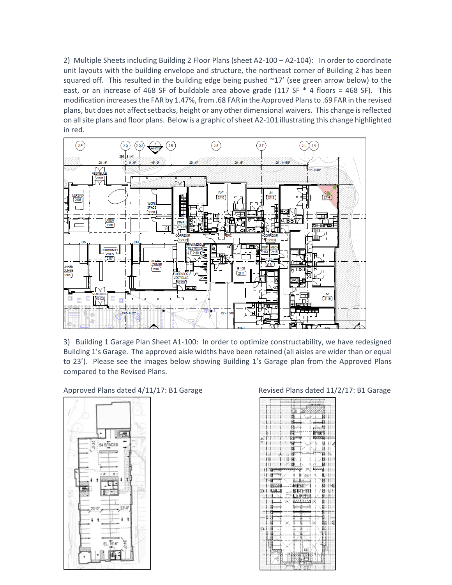2) Multiple Sheets including Building 2 Floor Plans (sheet A2-100 – A2-104): In order to coordinate unit layouts with the building envelope and structure, the northeast corner of Building 2 has been squared off. This resulted in the building edge being pushed  $\sim$ 17' (see green arrow below) to the east, or an increase of 468 SF of buildable area above grade (117 SF  $*$  4 floors = 468 SF). This modification increasesthe FAR by 1.47%, from .68 FAR in the Approved Plansto .69 FAR in the revised plans, but does not affect setbacks, height or any other dimensional waivers. This change is reflected on all site plans and floor plans. Below is a graphic of sheet A2-101 illustrating this change highlighted in red.



3) Building 1 Garage Plan Sheet A1‐100: In order to optimize constructability, we have redesigned Building 1's Garage. The approved aisle widths have been retained (all aisles are wider than or equal to 23'). Please see the images below showing Building 1's Garage plan from the Approved Plans compared to the Revised Plans.

## Approved Plans dated 4/11/17: B1 Garage Revised Plans dated 11/2/17: B1 Garage